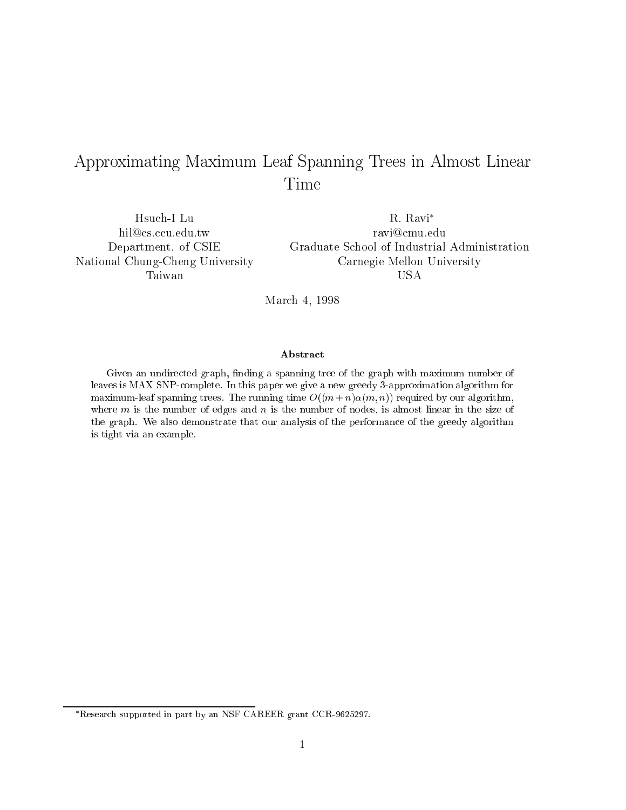# Approximating Maximum Leaf Spanning Trees in Almost Linear Time

Hsueh-I Lu hil@cs.ccu.edu.tw Department. of CSIE National Chung-Cheng University Taiwan

R. Ravi ravi@cmu.edu Graduate School of Industrial Administration Carnegie Mellon University USA

March 4, 1998

### Abstract

Given an undirected graph, finding a spanning tree of the graph with maximum number of leaves is MAX SNP-complete. In this paper we give a new greedy 3-approximation algorithm for maximum-leaf spanning trees. The running time  $O((m+n)\alpha(m,n))$  required by our algorithm, where  $m$  is the number of edges and  $n$  is the number of nodes, is almost linear in the size of the graph. We also demonstrate that our analysis of the performance of the greedy algorithm is tight via an example.

Research supported in part by an NSF CAREER grant CCR-9625297.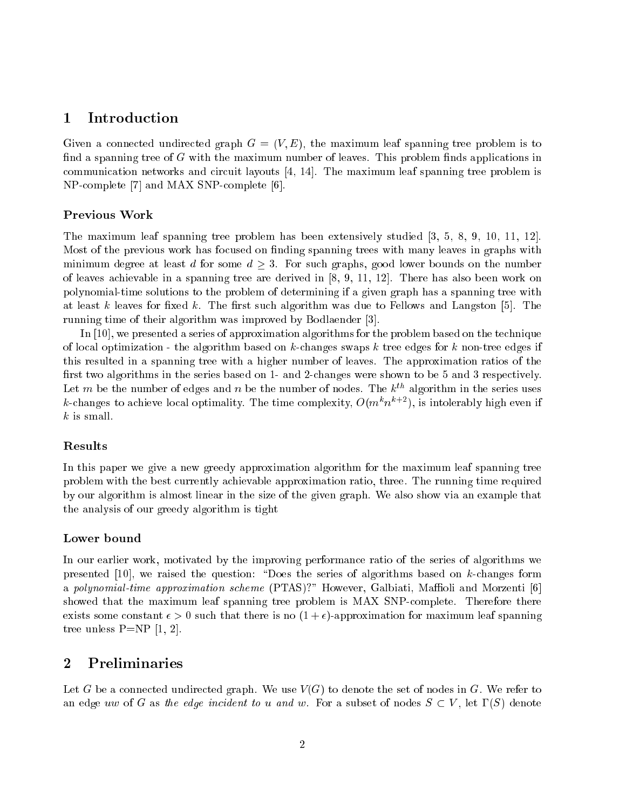### 1 Introduction

Given a connected undirected graph  $G = (V, E)$ , the maximum leaf spanning tree problem is to find a spanning tree of  $G$  with the maximum number of leaves. This problem finds applications in communication networks and circuit layouts [4, 14]. The maximum leaf spanning tree problem is NP-complete [7] and MAX SNP-complete [6].

The maximum leaf spanning tree problem has been extensively studied [3, 5, 8, 9, 10, 11, 12]. Most of the previous work has focused on finding spanning trees with many leaves in graphs with minimum degree at least d for some  $d \geq 3$ . For such graphs, good lower bounds on the number of leaves achievable in a spanning tree are derived in [8, 9, 11, 12]. There has also been work on polynomial-time solutions to the problem of determining if a given graph has a spanning tree with at least k leaves for fixed k. The first such algorithm was due to Fellows and Langston  $[5]$ . The running time of their algorithm was improved by Bodlaender [3].

In [10], we presented a series of approximation algorithms for the problem based on the technique of local optimization - the algorithm based on  $k$ -changes swaps k tree edges for k non-tree edges if this resulted in a spanning tree with a higher number of leaves. The approximation ratios of the first two algorithms in the series based on 1- and 2-changes were shown to be 5 and 3 respectively. Let m be the number of edges and n be the number of nodes. The  $k^{th}$  algorithm in the series uses  $\kappa$ -changes to achieve local optimality. The time complexity, O( $m^+n^+$  -), is intolerably high even if  $k$  is small.

### Results

In this paper we give a new greedy approximation algorithm for the maximum leaf spanning tree problem with the best currently achievable approximation ratio, three. The running time required by our algorithm is almost linear in the size of the given graph. We also show via an example that the analysis of our greedy algorithm is tight

In our earlier work, motivated by the improving performance ratio of the series of algorithms we presented  $[10]$ , we raised the question: "Does the series of algorithms based on k-changes form a polynomial-time approximation scheme (PTAS)?" However, Galbiati, Maffioli and Morzenti [6] showed that the maximum leaf spanning tree problem is MAX SNP-complete. Therefore there exists some constant  $\epsilon > 0$  such that there is no  $(1 + \epsilon)$ -approximation for maximum leaf spanning tree unless  $P=NP [1, 2].$ 

### 2 Preliminaries

Let G be a connected undirected graph. We use  $V(G)$  to denote the set of nodes in G. We refer to an edge uw of G as the edge incident to u and w. For a subset of nodes  $S \subset V$ , let  $\Gamma(S)$  denote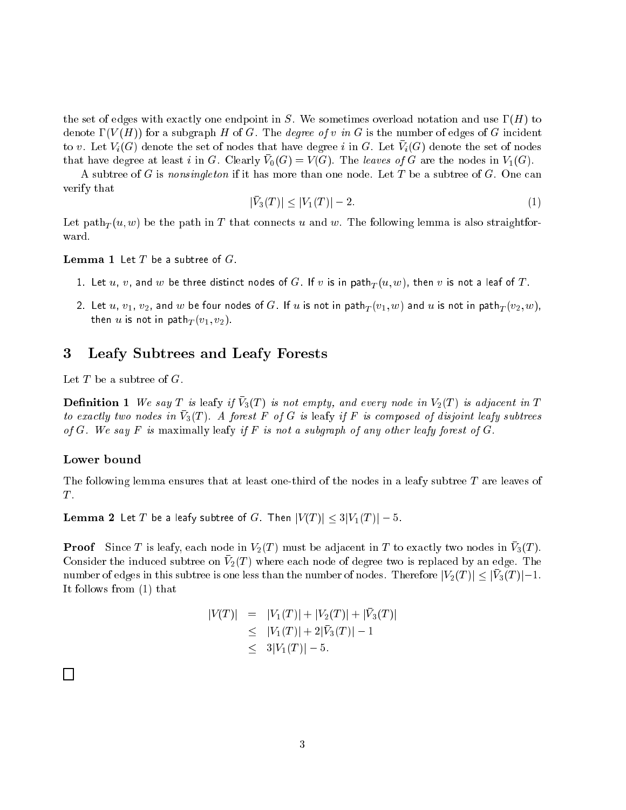the set of edges with exactly one endpoint in S. We sometimes overload notation and use  $\Gamma(H)$  to denote  $\Gamma(V(H))$  for a subgraph H of G. The *degree of v in G* is the number of edges of G incident to v. Let  $V_i(G)$  denote the set of nodes that have degree  $i$  in G. Let  $V_i(G)$  denote the set of nodes that have degree at least  $i$  in G. Clearly  $v_0(G) = v(G)$ . The *teaves of G* are the nodes in  $v_1(G)$ .

A subtree of G is nonsingleton if it has more than one node. Let T be a subtree of G. One can verify that

$$
|\bar{V}_3(T)| \le |V_1(T)| - 2. \tag{1}
$$

Let path<sub>T</sub> $(u, w)$  be the path in T that connects u and w. The following lemma is also straightforward.

**Lemma 1** Let  $T$  be a subtree of  $G$ .

- 1. Let u, v, and <sup>w</sup> be three distinct nodes of G. If <sup>v</sup> is in pathT (u; w), then <sup>v</sup> is not <sup>a</sup> leaf of <sup>T</sup> .
- 2. Let us in v2, and w be four nodes of G. If we have not in pathT (v1; w) and u is not in pathT (v2; w), then us is not in path  $\Gamma$  (v1; v2).

## 3 Leafy Subtrees and Leafy Forests

Let  $T$  be a subtree of  $G$ .

**Demition 1** We say T is leafy if  $v_3(1)$  is not empty, and every node in  $v_2(1)$  is adjacent in T to exactly two nodes in V3(1). A forest F of G is leafy if F is composed of disjoint leafy subtrees of G. We say F is maximally leafy if F is not a subgraph of any other leafy forest of G.

The following lemma ensures that at least one-third of the nodes in a leafy subtree T are leaves of  $T$ .

**Lemma 2** Let T be a leafy subtree of G. Then  $|V(T)| \leq 3|V_1(T)| - 5$ .

**I** FOOT SHICE T is leafly, each node in  $V_2(T)$  must be adjacent in T to exactly two nodes in  $V_3(T)$ . Consider the induced subtree on  $v_2(x)$  where each node or degree two is replaced by an edge. The number of edges in this subtree is one less than the number of nodes. Therefore  $\left| \frac{y}{1} \right| \leq \left| \frac{y}{1} \right| - 1.$ It follows from (1) that

$$
|V(T)| = |V_1(T)| + |V_2(T)| + |V_3(T)|
$$
  
\n
$$
\leq |V_1(T)| + 2|\bar{V}_3(T)| - 1
$$
  
\n
$$
\leq 3|V_1(T)| - 5.
$$

 $\Box$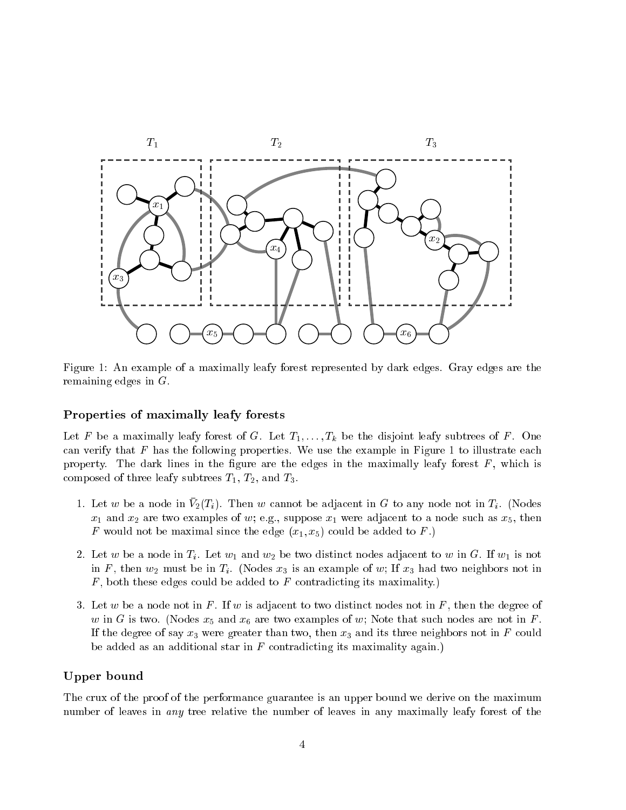

Figure 1: An example of a maximally leafy forest represented by dark edges. Gray edges are the remaining edges in G.

### Properties of maximally leafy forests

Let F be a maximally leafy forest of G. Let  $T_1, \ldots, T_k$  be the disjoint leafy subtrees of F. One can verify that  $F$  has the following properties. We use the example in Figure 1 to illustrate each property. The dark lines in the figure are the edges in the maximally leafy forest  $F$ , which is composed of three leafy subtrees  $T_1$ ,  $T_2$ , and  $T_3$ .

- 1. Let  $\omega$  be a node in  $v_2(\tau_i)$ . Then  $\omega$  cannot be adjacent in  $\alpha$  to any node not in  $\tau_i$ . (ivodes  $x_1$  and  $x_2$  are two examples of w; e.g., suppose  $x_1$  were adjacent to a node such as  $x_5$ , then F would not be maximal since the edge  $(x_1, x_5)$  could be added to F.)
- 2. Let w be a node in  $T_i$ . Let  $w_1$  and  $w_2$  be two distinct nodes adjacent to w in G. If  $w_1$  is not in F, then  $w_2$  must be in  $T_i$ . (Nodes  $x_3$  is an example of w; If  $x_3$  had two neighbors not in  $F$ , both these edges could be added to  $F$  contradicting its maximality.)
- 3. Let w be a node not in F. If w is adjacent to two distinct nodes not in F, then the degree of w in G is two. (Nodes  $x_5$  and  $x_6$  are two examples of w; Note that such nodes are not in F. If the degree of say  $x_3$  were greater than two, then  $x_3$  and its three neighbors not in F could be added as an additional star in  $F$  contradicting its maximality again.)

### Upper bound

The crux of the proof of the performance guarantee is an upper bound we derive on the maximum number of leaves in any tree relative the number of leaves in any maximally leafy forest of the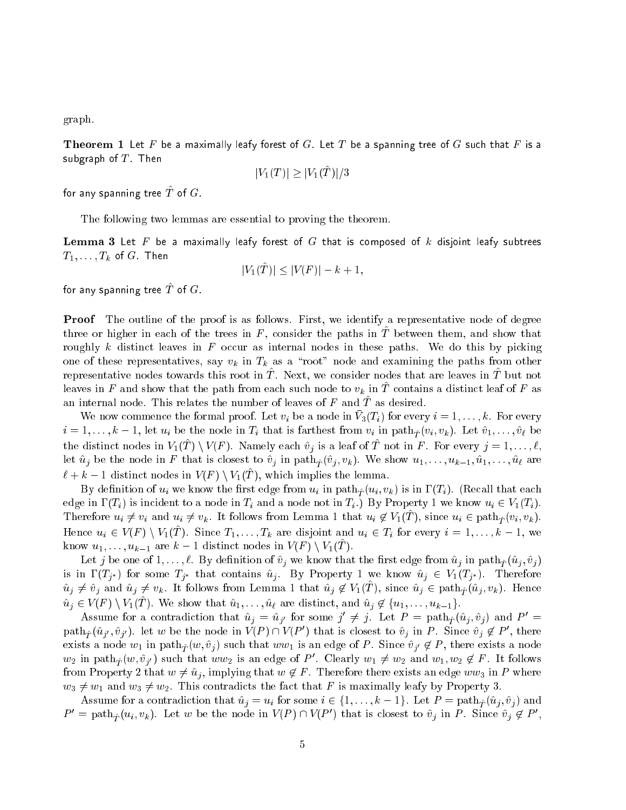graph.

**Theorem 1** Let F be a maximally leafy forest of G. Let T be a spanning tree of G such that F is a subgraph of T . Then the T . Then the T . Then the T . Then the T . Then the T . Then the T . Then the T . Then the T . Then the T . Then the T . Then the T . Then the T . Then the T . Then the T . Then the T . Then the T

$$
|V_1(T)| \geq |V_1(\hat{T})|/3
$$

for any spanning tree  $I$  of  $G$ .

The following two lemmas are essential to proving the theorem.

**Lemma 3** Let F be a maximally leafy forest of G that is composed of k disjoint leafy subtrees  $T_1,\ldots,T_k$  of  $G$  . Then

$$
|V_1(\hat{T})| \le |V(F)| - k + 1,
$$

for any spanning tree  $I$  of  $G$ .

Proof The outline of the proof is as follows. First, we identify a representative node of degree three or higher in each of the trees in F, consider the paths in  $\tilde{T}$  between them, and show that roughly k distinct leaves in  $F$  occur as internal nodes in these paths. We do this by picking one of these representatives, say  $v_k$  in  $T_k$  as a "root" node and examining the paths from other representative nodes towards this root in  $I$  . Trext, we consider nodes that are leaves in  $I^\circ$  but not leaves in F and show that the path from each such node to  $v_k$  in T contains a distinct leaf of F as an internal node. This relates the number of leaves of  $\Gamma$  and  $\Gamma$  as desired.

We now commence the formal proof. Let  $v_i$  be a node in  $V_3(T_i)$  for every  $i = 1, \ldots, n$ . For every  $i = 1, \ldots, k - 1$ , let  $u_i$  be the node in  $T_i$  that is farthest from  $v_i$  in path $\hat{\tau}$  ( $v_i, v_k$ ). Let  $\hat{v}_1, \ldots, \hat{v}_\ell$  be the distinct nodes in  $V[(T \mid V(T)]$ . Namely each  $v<sub>j</sub>$  is a leaf of Tomotom F . For every  $j = 1, \ldots, t$ , let  $\hat{u}_j$  be the node in F that is closest to  $\hat{v}_j$  in path $\hat{\tau}$  ( $\hat{v}_j$ ,  $v_k$ ). We show  $u_1, \ldots, u_{k-1}, \hat{u}_1, \ldots, \hat{u}_\ell$  are  $\kappa + \kappa - 1$  distinct nodes in  $V(T) \setminus V(\Gamma)$ , which implies the lemma.

By definition of  $u_i$  we know the first edge from  $u_i$  in path $\hat{\tau}(u_i, v_k)$  is in  $\Gamma(T_i)$ . (Recall that each edge in  $\Gamma(T_i)$  is incident to a node in  $T_i$  and a node not in  $T_i$ .) By Property 1 we know  $u_i \in V_1(T_i)$ . Therefore  $u_i \neq v_i$  and  $u_i \neq v_k$ . It follows from Definition 1 that  $u_i \notin V_1(T)$ , since  $u_i \in \text{pair}(v_i, v_k)$ . Hence  $u_i \in V(T) \setminus V(T)$ . Since  $T_1, \ldots, T_k$  are disjoint and  $u_i \in T_i$  for every  $i = 1, \ldots, k - 1$ , we know  $u_1, \ldots, u_{k-1}$  are  $k-1$  distinct nodes in  $V(T) \setminus V(1, T)$ .

Let j be one of  $1, \ldots, \ell$ . By definition of  $\hat{v}_j$  we know that the first edge from  $\hat{u}_j$  in path $\hat{\tau}$  $(\hat{u}_j, \hat{v}_j)$ is in  $\Gamma(T_{i^*})$  for some  $T_{i^*}$  that contains  $\hat{u}_i$ . By Property 1 we know  $\hat{u}_i \in V_1(T_{i^*})$ . Therefore  $u_j \neq v_j$  and  $u_j \neq v_k$ . It follows from Lemma 1 that  $u_j \notin V_1(T)$ , since  $u_j \in$  path $\hat{T}(u_j, v_k)$ . Hence  $u_j \in V(F) \setminus V(G)$ . We show that  $u_1, \ldots, u_\ell$  are distinct, and  $u_j \notin \{u_1, \ldots, u_{k-1}\}$ .

Assume for a contradiction that  $u^j = u^{j}$  for some  $j \neq j$ . Let  $P = \text{pan}_{\hat{T}}(u_j, v_j)$  and  $P =$ path $\hat{T}$ ( $u_j$ ', $v_j$ '). Let w be the node in  $V(P) \sqcup V(P)$  that is closest to  $v_j$  in P. Since  $v_j \notin P$ , there exists a node  $w_1$  in path $\hat{T}_T (w, \hat{v}_j)$  such that  $ww_1$  is an edge of P. Since  $\hat{v}_{j'} \notin P$ , there exists a node  $w_2$  in path $\hat{T}_T(w, v_{j'})$  such that  $ww_2$  is an edge of P . Clearly  $w_1 \neq w_2$  and  $w_1, w_2 \notin P$ . It follows from Property 2 that  $w \neq \hat{u}_j$ , implying that  $w \notin F$ . Therefore there exists an edge ww<sub>3</sub> in P where  $w_3 \neq w_1$  and  $w_3 \neq w_2$ . This contradicts the fact that F is maximally leafy by Property 3.

Assume for a contradiction that  $\hat{u}_j = u_i$  for some  $i \in \{1, \ldots, k - 1\}$ . Let  $P = \text{path}_{\hat{T}} (\hat{u}_j, \hat{v}_j )$  and  $P = \text{path}_{\hat{T}}(u_i, v_k)$ . Let w be the node in  $V(P) \cap V(P)$  that is closest to  $v_j$  in P. Since  $v_j \notin P$ ,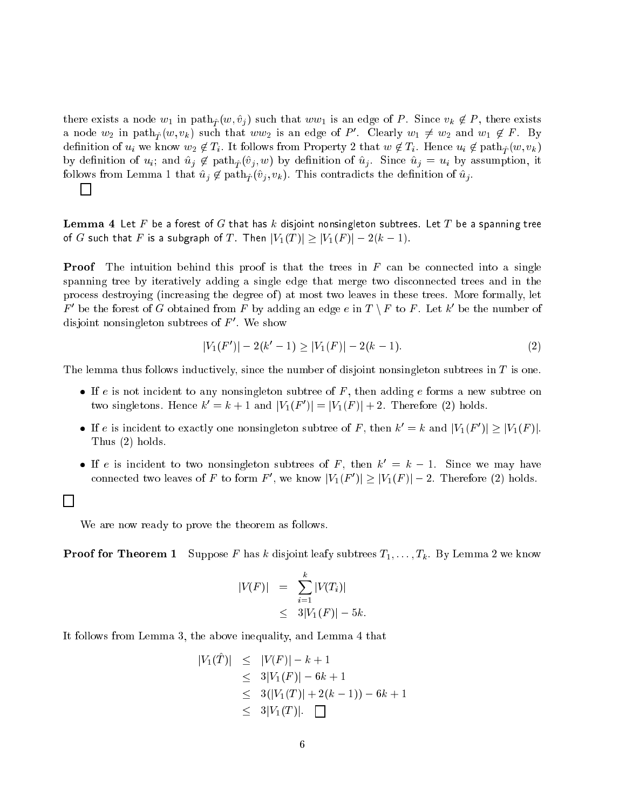there exists a node  $w_1$  in path $\hat{\tau} (w, \hat{v}_j)$  such that  $ww_1$  is an edge of P. Since  $v_k \notin P$ , there exists a node  $w_2$  in path $_{\hat{T}}(w,v_k)$  such that  $ww_2$  is an edge of P . Clearly  $w_1\neq w_2$  and  $w_1\notin P$  . By definition of  $u_i$  we know  $w_2 \notin T_i$ . It follows from Property 2 that  $w \notin T_i$ . Hence  $u_i \notin \text{path}_{\hat{T}} (w, v_k)$ by definition of  $u_i$ ; and  $\hat{u}_j \notin \text{path}_{\hat{\tau}}(\hat{v}_i, w)$  by definition of  $\hat{u}_j$ . Since  $\hat{u}_j = u_i$  by assumption, it follows from Lemma 1 that  $\hat{u}_j \notin \text{path}_{\hat{\tau}}(\hat{v}_j, v_k)$ . This contradicts the definition of  $\hat{u}_j$ .  $\mathbb{R}^n$ 

**Lemma 4** Let F be a forest of G that has k disjoint nonsingleton subtrees. Let T be a spanning tree of <sup>G</sup> such that <sup>F</sup> is <sup>a</sup> subgraph of <sup>T</sup> . Then jV1(T )j jV1(F )j 2(k 1).

**Proof** The intuition behind this proof is that the trees in  $F$  can be connected into a single spanning tree by iteratively adding a single edge that merge two disconnected trees and in the process destroying (increasing the degree of) at most two leaves in these trees. More formally, let  $F$  be the forest of G obtained from F by adding an edge  $e$  in  $I \setminus F$  to F. Let  $\kappa$  be the number of disjoint nonsingleton subtrees of  $F$  . We show

$$
|V_1(F')| - 2(k'-1) \ge |V_1(F)| - 2(k-1). \tag{2}
$$

The lemma thus follows inductively, since the number of disjoint nonsingleton subtrees in  $T$  is one.

- If <sup>e</sup> is not incident to any nonsingleton subtree of <sup>F</sup> , then adding <sup>e</sup> forms a new subtree on two singletons. Hence  $\kappa^* = \kappa + 1$  and  $|V_1(F)| = |V_1(F)| + 2$ . Therefore (2) holds.
- If e is increasing to exactly one nonsingleton subtree of F, then  $\kappa = \kappa$  and  $|V_1(F)| \ge |V_1(F)|$ . Thus (2) holds.
- If e is incident to two nonsingleton subtrees of  $F$ , then  $\kappa^- = \kappa^-$  1. Since we may have connected two leaves of F to form F, we know  $|V_1(F)| \geq |V_1(F)| = 2$ . Therefore (2) holds.

We are now ready to prove the theorem as follows.

 $\Box$ 

**Proof for Theorem 1** Suppose F has k disjoint leafy subtrees  $T_1, \ldots, T_k$ . By Lemma 2 we know

$$
|V(F)| = \sum_{i=1}^{k} |V(T_i)|
$$
  
 
$$
\leq 3|V_1(F)| - 5k.
$$

It follows from Lemma 3, the above inequality, and Lemma 4 that

$$
|V_1(T)| \leq |V(F)| - k + 1
$$
  
\n
$$
\leq 3|V_1(F)| - 6k + 1
$$
  
\n
$$
\leq 3(|V_1(T)| + 2(k - 1)) - 6k + 1
$$
  
\n
$$
\leq 3|V_1(T)|. \quad \Box
$$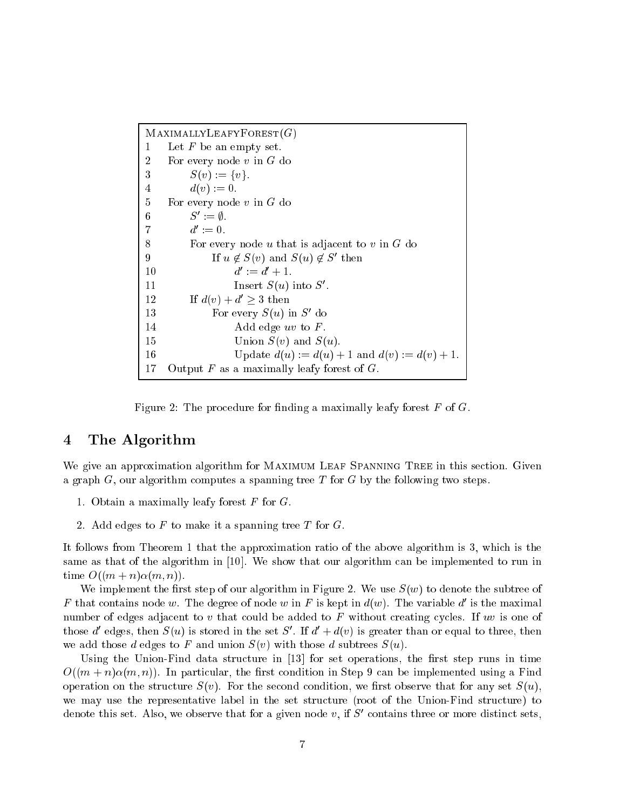$M$ AXIMALLYLEAFYFOREST $(G)$ 1 Let  $F$  be an empty set. 2 For every node  $v$  in  $G$  do 3  $S(v) := \{v\}.$ 4  $d(v) := 0.$ 5 For every node  $v$  in  $G$  do  $\mathsf{o} := \mathsf{v}.$  $a := 0.$ 8 For every node u that is adjacent to v in  $G$  do  $9 \quad \text{If } u \notin \mathcal{S}(v) \text{ and } \mathcal{S}(u) \notin \mathcal{S} \text{ then}$  $10$  $d' := d' + 1.$  $11$  Insert  $5(u)$  into  $5v$ . 12 If  $d(v) + d' > 3$  then 15 For every  $5(u)$  in Sq. do 14 Add edge uv to F. 15 Union  $S(v)$  and  $S(u)$ . 16 Update  $d(u) := d(u) + 1$  and  $d(v) := d(v) + 1$ . 17 Output  $F$  as a maximally leafy forest of  $G$ .

Figure 2: The procedure for finding a maximally leafy forest  $F$  of  $G$ .

### 4 The Algorithm

We give an approximation algorithm for MAXIMUM LEAF SPANNING TREE in this section. Given a graph  $G$ , our algorithm computes a spanning tree T for  $G$  by the following two steps.

- 1. Obtain a maximally leafy forest  $F$  for  $G$ .
- 2. Add edges to  $F$  to make it a spanning tree  $T$  for  $G$ .

It follows from Theorem 1 that the approximation ratio of the above algorithm is 3, which is the same as that of the algorithm in [10]. We show that our algorithm can be implemented to run in time  $O((m+n)\alpha(m, n))$ .

We implement the first step of our algorithm in Figure 2. We use  $S(w)$  to denote the subtree of  $F$  that contains node  $w$ . The degree of node  $w$  in  $F$  is kept in  $a(w)$ . The variable  $a$  is the maximal number of edges adjacent to  $v$  that could be added to  $F$  without creating cycles. If  $uv$  is one of those  $a$  edges, then  $S(u)$  is stored in the set  $S$  . If  $a + a(v)$  is greater than or equal to three, then we add those d edges to F and union  $S(v)$  with those d subtrees  $S(u)$ .

Using the Union-Find data structure in  $[13]$  for set operations, the first step runs in time  $O((m+n)\alpha(m,n))$ . In particular, the first condition in Step 9 can be implemented using a Find operation on the structure  $S(v)$ . For the second condition, we first observe that for any set  $S(u)$ , we may use the representative label in the set structure (root of the Union-Find structure) to denote this set. Also, we observe that for a given node  $v$ , if  $S$  contains three or more distinct sets,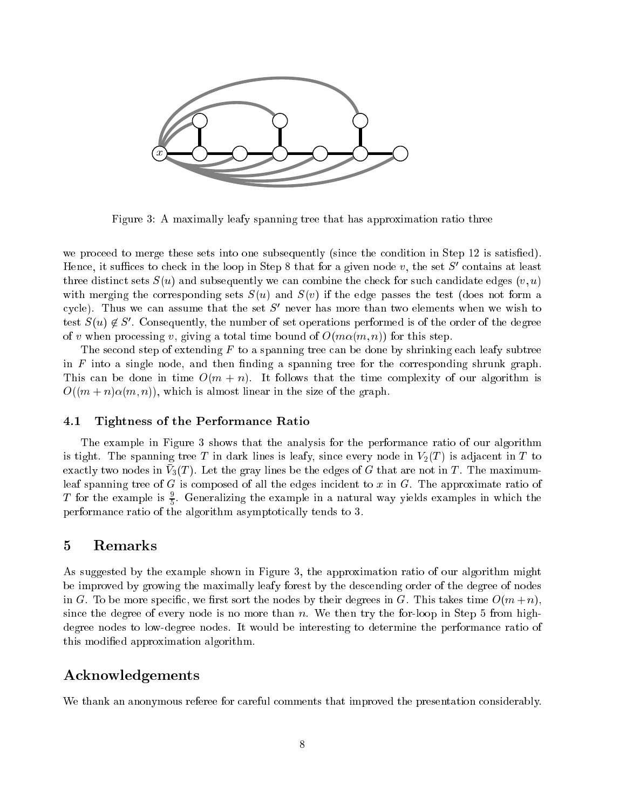

Figure 3: A maximally leafy spanning tree that has approximation ratio three

we proceed to merge these sets into one subsequently (since the condition in Step 12 is satisfied). Hence, it sumces to check in the loop in Step 8 that for a given hode v, the set  $S$  contains at least three distinct sets  $S(u)$  and subsequently we can combine the check for such candidate edges  $(v, u)$ with merging the corresponding sets  $S(u)$  and  $S(v)$  if the edge passes the test (does not form a cycle). Thus we can assume that the set  $S$  hever has more than two elements when we wish to test  $S(u) \notin S$ . Consequently, the number of set operations performed is of the order of the degree of v when processing v, giving a total time bound of  $O(m\alpha(m,n))$  for this step.

The second step of extending  $F$  to a spanning tree can be done by shrinking each leafy subtree in  $F$  into a single node, and then finding a spanning tree for the corresponding shrunk graph. This can be done in time  $O(m + n)$ . It follows that the time complexity of our algorithm is  $O((m+n)\alpha(m,n))$ , which is almost linear in the size of the graph.

### 4.1Tightness of the Performance Ratio

The example in Figure 3 shows that the analysis for the performance ratio of our algorithm is tight. The spanning tree T in dark lines is leafy, since every node in  $V_2(T)$  is adjacent in T to  $\alpha$ actly two nodes in  $v_3(x)$ . Let the gray lines be the edges of  $G$  that are not in  $T$ . The maximumleaf spanning tree of  $G$  is composed of all the edges incident to  $x$  in  $G$ . The approximate ratio of  $\scriptstyle\rm I$  for the example is  $_{\overline{e}}$ . Generalizing the example in a natural way yields examples in which the performance ratio of the algorithm asymptotically tends to 3.

### 5 Remarks

As suggested by the example shown in Figure 3, the approximation ratio of our algorithm might be improved by growing the maximally leafy forest by the descending order of the degree of nodes in G. To be more specific, we first sort the nodes by their degrees in G. This takes time  $O(m+n)$ , since the degree of every node is no more than  $n$ . We then try the for-loop in Step 5 from highdegree nodes to low-degree nodes. It would be interesting to determine the performance ratio of this modied approximation algorithm.

### Acknowledgements

We thank an anonymous referee for careful comments that improved the presentation considerably.